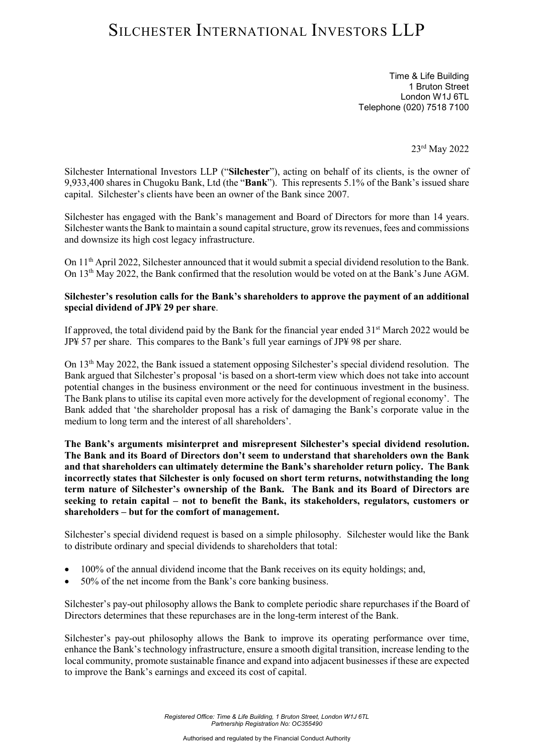# SILCHESTER INTERNATIONAL INVESTORS LLP

Time & Life Building 1 Bruton Street London W1J 6TL Telephone (020) 7518 7100

23rd May 2022

Silchester International Investors LLP ("**Silchester**"), acting on behalf of its clients, is the owner of 9,933,400 shares in Chugoku Bank, Ltd (the "**Bank**"). This represents 5.1% of the Bank's issued share capital. Silchester's clients have been an owner of the Bank since 2007.

Silchester has engaged with the Bank's management and Board of Directors for more than 14 years. Silchester wants the Bank to maintain a sound capital structure, grow its revenues, fees and commissions and downsize its high cost legacy infrastructure.

On 11th April 2022, Silchester announced that it would submit a special dividend resolution to the Bank. On 13th May 2022, the Bank confirmed that the resolution would be voted on at the Bank's June AGM.

### **Silchester's resolution calls for the Bank's shareholders to approve the payment of an additional special dividend of JP¥ 29 per share**.

If approved, the total dividend paid by the Bank for the financial year ended  $31<sup>st</sup>$  March 2022 would be JP¥ 57 per share. This compares to the Bank's full year earnings of JP¥ 98 per share.

On 13th May 2022, the Bank issued a statement opposing Silchester's special dividend resolution. The Bank argued that Silchester's proposal 'is based on a short-term view which does not take into account potential changes in the business environment or the need for continuous investment in the business. The Bank plans to utilise its capital even more actively for the development of regional economy'. The Bank added that 'the shareholder proposal has a risk of damaging the Bank's corporate value in the medium to long term and the interest of all shareholders'.

**The Bank's arguments misinterpret and misrepresent Silchester's special dividend resolution. The Bank and its Board of Directors don't seem to understand that shareholders own the Bank and that shareholders can ultimately determine the Bank's shareholder return policy. The Bank incorrectly states that Silchester is only focused on short term returns, notwithstanding the long term nature of Silchester's ownership of the Bank. The Bank and its Board of Directors are seeking to retain capital – not to benefit the Bank, its stakeholders, regulators, customers or shareholders – but for the comfort of management.**

Silchester's special dividend request is based on a simple philosophy. Silchester would like the Bank to distribute ordinary and special dividends to shareholders that total:

- 100% of the annual dividend income that the Bank receives on its equity holdings; and,
- 50% of the net income from the Bank's core banking business.

Silchester's pay-out philosophy allows the Bank to complete periodic share repurchases if the Board of Directors determines that these repurchases are in the long-term interest of the Bank.

Silchester's pay-out philosophy allows the Bank to improve its operating performance over time, enhance the Bank's technology infrastructure, ensure a smooth digital transition, increase lending to the local community, promote sustainable finance and expand into adjacent businesses if these are expected to improve the Bank's earnings and exceed its cost of capital.

> *Registered Office: Time & Life Building, 1 Bruton Street, London W1J 6TL Partnership Registration No: OC355490*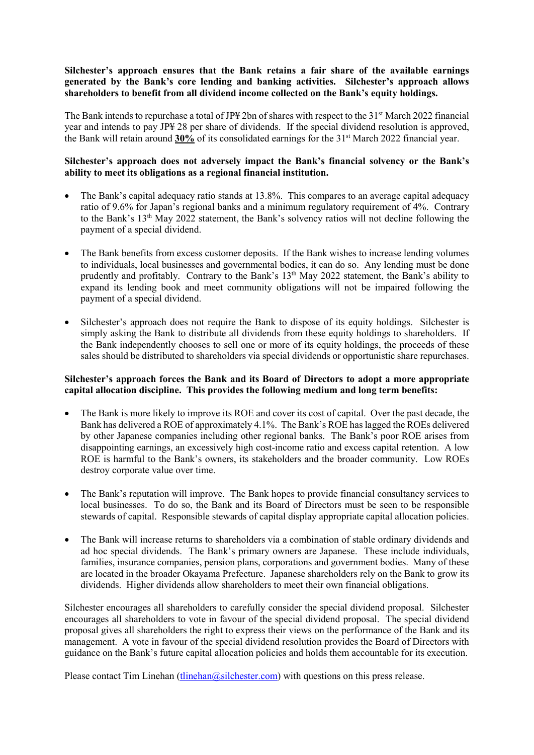## **Silchester's approach ensures that the Bank retains a fair share of the available earnings generated by the Bank's core lending and banking activities. Silchester's approach allows shareholders to benefit from all dividend income collected on the Bank's equity holdings.**

The Bank intends to repurchase a total of JP\# 2bn of shares with respect to the  $31<sup>st</sup>$  March 2022 financial year and intends to pay JP¥ 28 per share of dividends. If the special dividend resolution is approved, the Bank will retain around **30%** of its consolidated earnings for the 31st March 2022 financial year.

## **Silchester's approach does not adversely impact the Bank's financial solvency or the Bank's ability to meet its obligations as a regional financial institution.**

- The Bank's capital adequacy ratio stands at 13.8%. This compares to an average capital adequacy ratio of 9.6% for Japan's regional banks and a minimum regulatory requirement of 4%. Contrary to the Bank's 13<sup>th</sup> May 2022 statement, the Bank's solvency ratios will not decline following the payment of a special dividend.
- The Bank benefits from excess customer deposits. If the Bank wishes to increase lending volumes to individuals, local businesses and governmental bodies, it can do so. Any lending must be done prudently and profitably. Contrary to the Bank's 13<sup>th</sup> May 2022 statement, the Bank's ability to expand its lending book and meet community obligations will not be impaired following the payment of a special dividend.
- Silchester's approach does not require the Bank to dispose of its equity holdings. Silchester is simply asking the Bank to distribute all dividends from these equity holdings to shareholders. If the Bank independently chooses to sell one or more of its equity holdings, the proceeds of these sales should be distributed to shareholders via special dividends or opportunistic share repurchases.

### **Silchester's approach forces the Bank and its Board of Directors to adopt a more appropriate capital allocation discipline. This provides the following medium and long term benefits:**

- The Bank is more likely to improve its ROE and cover its cost of capital. Over the past decade, the Bank has delivered a ROE of approximately 4.1%. The Bank's ROE has lagged the ROEs delivered by other Japanese companies including other regional banks. The Bank's poor ROE arises from disappointing earnings, an excessively high cost-income ratio and excess capital retention. A low ROE is harmful to the Bank's owners, its stakeholders and the broader community. Low ROEs destroy corporate value over time.
- The Bank's reputation will improve. The Bank hopes to provide financial consultancy services to local businesses. To do so, the Bank and its Board of Directors must be seen to be responsible stewards of capital. Responsible stewards of capital display appropriate capital allocation policies.
- The Bank will increase returns to shareholders via a combination of stable ordinary dividends and ad hoc special dividends. The Bank's primary owners are Japanese. These include individuals, families, insurance companies, pension plans, corporations and government bodies. Many of these are located in the broader Okayama Prefecture. Japanese shareholders rely on the Bank to grow its dividends. Higher dividends allow shareholders to meet their own financial obligations.

Silchester encourages all shareholders to carefully consider the special dividend proposal. Silchester encourages all shareholders to vote in favour of the special dividend proposal. The special dividend proposal gives all shareholders the right to express their views on the performance of the Bank and its management. A vote in favour of the special dividend resolution provides the Board of Directors with guidance on the Bank's future capital allocation policies and holds them accountable for its execution.

Please contact Tim Linehan  $(\underline{tlinehan}$   $\angle Qsilchester.com)$  with questions on this press release.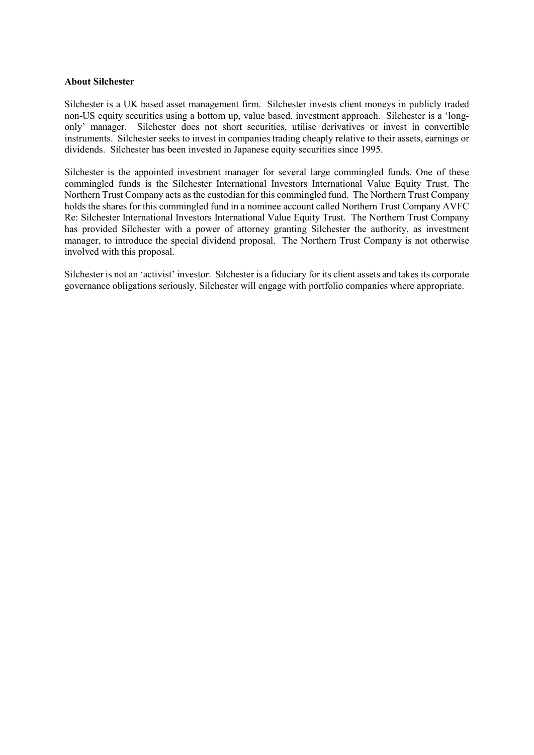### **About Silchester**

Silchester is a UK based asset management firm. Silchester invests client moneys in publicly traded non-US equity securities using a bottom up, value based, investment approach. Silchester is a 'longonly' manager. Silchester does not short securities, utilise derivatives or invest in convertible instruments. Silchester seeks to invest in companies trading cheaply relative to their assets, earnings or dividends. Silchester has been invested in Japanese equity securities since 1995.

Silchester is the appointed investment manager for several large commingled funds. One of these commingled funds is the Silchester International Investors International Value Equity Trust. The Northern Trust Company acts as the custodian for this commingled fund. The Northern Trust Company holds the shares for this commingled fund in a nominee account called Northern Trust Company AVFC Re: Silchester International Investors International Value Equity Trust. The Northern Trust Company has provided Silchester with a power of attorney granting Silchester the authority, as investment manager, to introduce the special dividend proposal. The Northern Trust Company is not otherwise involved with this proposal.

Silchester is not an 'activist' investor. Silchester is a fiduciary for its client assets and takes its corporate governance obligations seriously. Silchester will engage with portfolio companies where appropriate.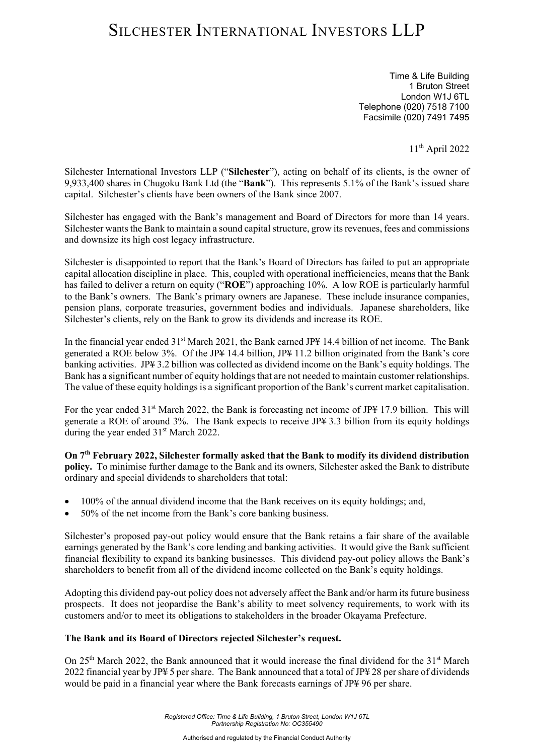# SILCHESTER INTERNATIONAL INVESTORS LLP

Time & Life Building 1 Bruton Street London W1J 6TL Telephone (020) 7518 7100 Facsimile (020) 7491 7495

11th April 2022

Silchester International Investors LLP ("**Silchester**"), acting on behalf of its clients, is the owner of 9,933,400 shares in Chugoku Bank Ltd (the "**Bank**"). This represents 5.1% of the Bank's issued share capital. Silchester's clients have been owners of the Bank since 2007.

Silchester has engaged with the Bank's management and Board of Directors for more than 14 years. Silchester wants the Bank to maintain a sound capital structure, grow its revenues, fees and commissions and downsize its high cost legacy infrastructure.

Silchester is disappointed to report that the Bank's Board of Directors has failed to put an appropriate capital allocation discipline in place. This, coupled with operational inefficiencies, means that the Bank has failed to deliver a return on equity ("**ROE**") approaching 10%. A low ROE is particularly harmful to the Bank's owners. The Bank's primary owners are Japanese. These include insurance companies, pension plans, corporate treasuries, government bodies and individuals. Japanese shareholders, like Silchester's clients, rely on the Bank to grow its dividends and increase its ROE.

In the financial year ended  $31<sup>st</sup>$  March 2021, the Bank earned JP\ 14.4 billion of net income. The Bank generated a ROE below 3%. Of the JP¥ 14.4 billion, JP¥ 11.2 billion originated from the Bank's core banking activities. JP¥ 3.2 billion was collected as dividend income on the Bank's equity holdings. The Bank has a significant number of equity holdings that are not needed to maintain customer relationships. The value of these equity holdings is a significant proportion of the Bank's current market capitalisation.

For the year ended 31<sup>st</sup> March 2022, the Bank is forecasting net income of JP\{4 17.9 billion. This will generate a ROE of around 3%. The Bank expects to receive JP¥ 3.3 billion from its equity holdings during the year ended 31<sup>st</sup> March 2022.

**On 7th February 2022, Silchester formally asked that the Bank to modify its dividend distribution policy.** To minimise further damage to the Bank and its owners, Silchester asked the Bank to distribute ordinary and special dividends to shareholders that total:

- 100% of the annual dividend income that the Bank receives on its equity holdings; and,
- 50% of the net income from the Bank's core banking business.

Silchester's proposed pay-out policy would ensure that the Bank retains a fair share of the available earnings generated by the Bank's core lending and banking activities. It would give the Bank sufficient financial flexibility to expand its banking businesses. This dividend pay-out policy allows the Bank's shareholders to benefit from all of the dividend income collected on the Bank's equity holdings.

Adopting this dividend pay-out policy does not adversely affect the Bank and/or harm its future business prospects. It does not jeopardise the Bank's ability to meet solvency requirements, to work with its customers and/or to meet its obligations to stakeholders in the broader Okayama Prefecture.

### **The Bank and its Board of Directors rejected Silchester's request.**

On  $25<sup>th</sup>$  March 2022, the Bank announced that it would increase the final dividend for the 31<sup>st</sup> March 2022 financial year by JP¥ 5 per share. The Bank announced that a total of JP¥ 28 per share of dividends would be paid in a financial year where the Bank forecasts earnings of JP¥ 96 per share.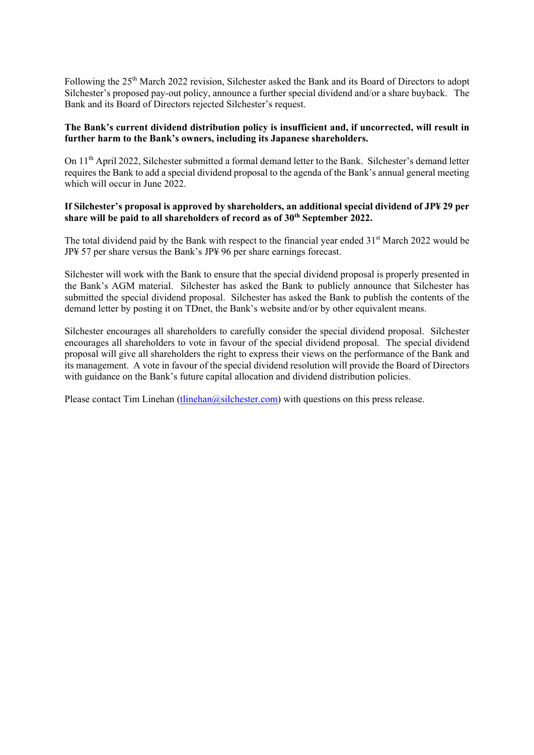Following the 25<sup>th</sup> March 2022 revision, Silchester asked the Bank and its Board of Directors to adopt Silchester's proposed pay-out policy, announce a further special dividend and/or a share buyback. The Bank and its Board of Directors rejected Silchester's request.

## **The Bank's current dividend distribution policy is insufficient and, if uncorrected, will result in further harm to the Bank's owners, including its Japanese shareholders.**

On 11th April 2022, Silchester submitted a formal demand letter to the Bank. Silchester's demand letter requires the Bank to add a special dividend proposal to the agenda of the Bank's annual general meeting which will occur in June 2022

### **If Silchester's proposal is approved by shareholders, an additional special dividend of JP¥ 29 per**  share will be paid to all shareholders of record as of 30<sup>th</sup> September 2022.

The total dividend paid by the Bank with respect to the financial year ended  $31<sup>st</sup>$  March 2022 would be JP¥ 57 per share versus the Bank's JP¥ 96 per share earnings forecast.

Silchester will work with the Bank to ensure that the special dividend proposal is properly presented in the Bank's AGM material. Silchester has asked the Bank to publicly announce that Silchester has submitted the special dividend proposal. Silchester has asked the Bank to publish the contents of the demand letter by posting it on TDnet, the Bank's website and/or by other equivalent means.

Silchester encourages all shareholders to carefully consider the special dividend proposal. Silchester encourages all shareholders to vote in favour of the special dividend proposal. The special dividend proposal will give all shareholders the right to express their views on the performance of the Bank and its management. A vote in favour of the special dividend resolution will provide the Board of Directors with guidance on the Bank's future capital allocation and dividend distribution policies.

Please contact Tim Linehan (tlinehan  $\omega$ silchester.com) with questions on this press release.